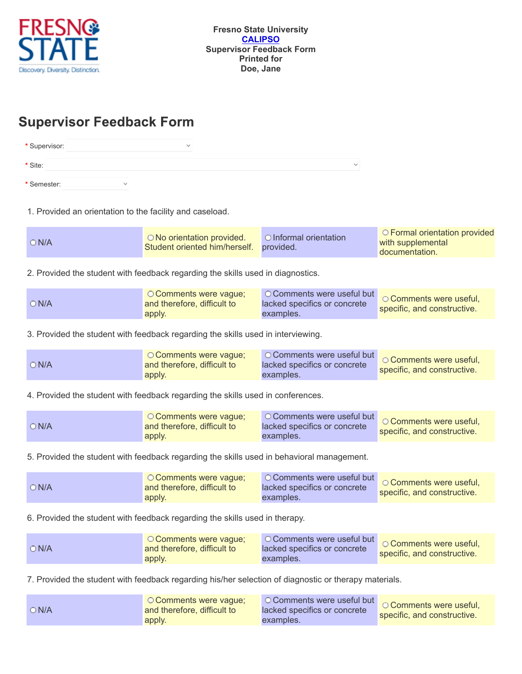

## **Supervisor Feedback Form**

| * Supervisor: |              | $\checkmark$ |              |
|---------------|--------------|--------------|--------------|
| * Site:       |              |              | $\checkmark$ |
| * Semester:   | $\checkmark$ |              |              |

1. Provided an orientation to the facility and caseload.

| $\bigcirc$ N/A | ○ No orientation provided.<br>Student oriented him/herself. provided. | O Informal orientation | O Formal orientation provided<br>with supplemental<br>documentation. |
|----------------|-----------------------------------------------------------------------|------------------------|----------------------------------------------------------------------|
|----------------|-----------------------------------------------------------------------|------------------------|----------------------------------------------------------------------|

2. Provided the student with feedback regarding the skills used in diagnostics.

3. Provided the student with feedback regarding the skills used in interviewing.

| ○ Comments were vague;<br>$\bigcirc$ N/A<br>and therefore, difficult to<br>apply. | <u>esserence</u> in OComments were useful but <b>OComments were usefi</b> nd<br>lacked specifics or concrete<br>examples. | specific, and constructive. |
|-----------------------------------------------------------------------------------|---------------------------------------------------------------------------------------------------------------------------|-----------------------------|
|-----------------------------------------------------------------------------------|---------------------------------------------------------------------------------------------------------------------------|-----------------------------|

4. Provided the student with feedback regarding the skills used in conferences.

| O Comments were vague;<br>$\bigcirc$ N/A<br>and therefore, difficult to<br>apply. | lacked specifics or concrete<br>examples. | specific, and constructive. |
|-----------------------------------------------------------------------------------|-------------------------------------------|-----------------------------|
|-----------------------------------------------------------------------------------|-------------------------------------------|-----------------------------|

5. Provided the student with feedback regarding the skills used in behavioral management.

| O Comments were vaque:<br>$\bigcirc$ N/A<br>and therefore, difficult to<br>apply. | <b>O Comments were useful but</b> O Comments were useful<br>lacked specifics or concrete<br>examples. | specific, and constructive. |
|-----------------------------------------------------------------------------------|-------------------------------------------------------------------------------------------------------|-----------------------------|
|-----------------------------------------------------------------------------------|-------------------------------------------------------------------------------------------------------|-----------------------------|

6. Provided the student with feedback regarding the skills used in therapy.

| lacked specifics or concrete<br>$\bigcirc$ N/A<br>and therefore, difficult to<br>apply.<br>examples. | <u>o Comments</u> were useful but comments were useful<br>O Comments were vaque:<br>specific, and constructive. |
|------------------------------------------------------------------------------------------------------|-----------------------------------------------------------------------------------------------------------------|
|------------------------------------------------------------------------------------------------------|-----------------------------------------------------------------------------------------------------------------|

7. Provided the student with feedback regarding his/her selection of diagnostic or therapy materials.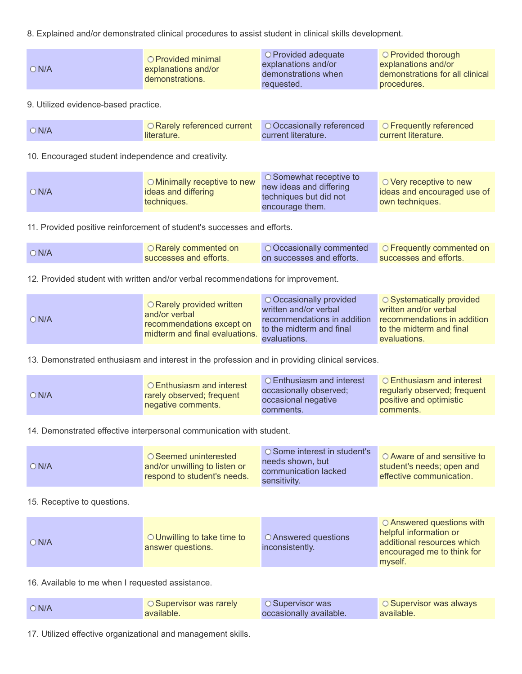8. Explained and/or demonstrated clinical procedures to assist student in clinical skills development.

9. Utilized evidence-based practice.

| $\bigcirc$ N/A | O Rarely referenced current   O Occasionally referenced   O Frequently referenced |                            |                     |
|----------------|-----------------------------------------------------------------------------------|----------------------------|---------------------|
|                | literature.                                                                       | <b>Current literature.</b> | Current literature. |

10. Encouraged student independence and creativity.

| O Minimally receptive to new<br>ON/A<br>ideas and differing<br>techniques. | $\circ$ Somewhat receptive to<br>new ideas and differing<br>techniques but did not<br>encourage them. | $\circ$ Very receptive to new<br>deas and encouraged use of<br>own techniques. |
|----------------------------------------------------------------------------|-------------------------------------------------------------------------------------------------------|--------------------------------------------------------------------------------|
|----------------------------------------------------------------------------|-------------------------------------------------------------------------------------------------------|--------------------------------------------------------------------------------|

11. Provided positive reinforcement of student's successes and efforts.

| $\bigcirc$ N/A | O Rarely commented on  | O Occasionally commented <b>O Frequently commented on</b> |                        |
|----------------|------------------------|-----------------------------------------------------------|------------------------|
|                | successes and efforts. | on successes and efforts.                                 | successes and efforts. |

12. Provided student with written and/or verbal recommendations for improvement.

| $\bigcirc$ N/A | O Rarely provided written<br>and/or verbal<br>recommendations except on<br>midterm and final evaluations. | ○ Occasionally provided<br>written and/or verbal<br>recommendations in addition<br>to the midterm and final<br>evaluations. | $\circ$ Systematically provided<br>written and/or verbal<br>recommendations in addition<br>to the midterm and final<br>evaluations. |
|----------------|-----------------------------------------------------------------------------------------------------------|-----------------------------------------------------------------------------------------------------------------------------|-------------------------------------------------------------------------------------------------------------------------------------|
|----------------|-----------------------------------------------------------------------------------------------------------|-----------------------------------------------------------------------------------------------------------------------------|-------------------------------------------------------------------------------------------------------------------------------------|

13. Demonstrated enthusiasm and interest in the profession and in providing clinical services.

| ON/A | ○ Enthusiasm and interest<br>rarely observed; frequent<br>negative comments. | <b>C</b> Enthusiasm and interest<br><b>occasionally observed;</b><br>occasional negative<br>comments. | O Enthusiasm and interest<br>regularly observed; frequent<br>positive and optimistic<br>comments. |
|------|------------------------------------------------------------------------------|-------------------------------------------------------------------------------------------------------|---------------------------------------------------------------------------------------------------|
|------|------------------------------------------------------------------------------|-------------------------------------------------------------------------------------------------------|---------------------------------------------------------------------------------------------------|

14. Demonstrated effective interpersonal communication with student.

| O Some interest in student's<br>needs shown, but<br>communication lacked<br>sensitivity. | $\circ$ Aware of and sensitive to<br>student's needs; open and<br>effective communication. |
|------------------------------------------------------------------------------------------|--------------------------------------------------------------------------------------------|
|                                                                                          |                                                                                            |

## 15. Receptive to questions.

16. Available to me when I requested assistance.

| $\bigcirc$ N/A | ○ Supervisor was rarely | <b>C</b> Supervisor was | ○ Supervisor was always |
|----------------|-------------------------|-------------------------|-------------------------|
|                | available.              | occasionally available. | available.              |

17. Utilized effective organizational and management skills.